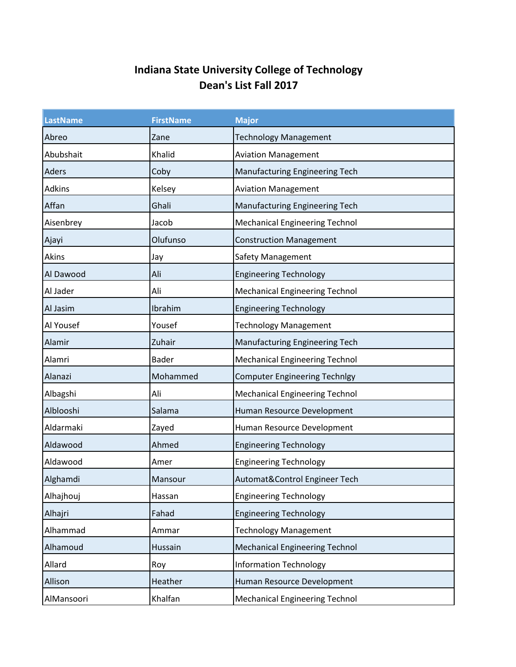## **Indiana State University College of Technology Dean's List Fall 2017**

| <b>LastName</b> | <b>FirstName</b> | <b>Major</b>                          |
|-----------------|------------------|---------------------------------------|
| Abreo           | Zane             | <b>Technology Management</b>          |
| Abubshait       | Khalid           | <b>Aviation Management</b>            |
| Aders           | Coby             | Manufacturing Engineering Tech        |
| <b>Adkins</b>   | Kelsey           | <b>Aviation Management</b>            |
| Affan           | Ghali            | Manufacturing Engineering Tech        |
| Aisenbrey       | Jacob            | <b>Mechanical Engineering Technol</b> |
| Ajayi           | Olufunso         | <b>Construction Management</b>        |
| Akins           | Jay              | Safety Management                     |
| Al Dawood       | Ali              | <b>Engineering Technology</b>         |
| Al Jader        | Ali              | <b>Mechanical Engineering Technol</b> |
| Al Jasim        | Ibrahim          | <b>Engineering Technology</b>         |
| Al Yousef       | Yousef           | <b>Technology Management</b>          |
| Alamir          | Zuhair           | Manufacturing Engineering Tech        |
| Alamri          | <b>Bader</b>     | <b>Mechanical Engineering Technol</b> |
| Alanazi         | Mohammed         | <b>Computer Engineering Technlgy</b>  |
| Albagshi        | Ali              | <b>Mechanical Engineering Technol</b> |
| Alblooshi       | Salama           | Human Resource Development            |
| Aldarmaki       | Zayed            | Human Resource Development            |
| Aldawood        | Ahmed            | <b>Engineering Technology</b>         |
| Aldawood        | Amer             | <b>Engineering Technology</b>         |
| Alghamdi        | Mansour          | Automat&Control Engineer Tech         |
| Alhajhouj       | Hassan           | <b>Engineering Technology</b>         |
| Alhajri         | Fahad            | <b>Engineering Technology</b>         |
| Alhammad        | Ammar            | <b>Technology Management</b>          |
| Alhamoud        | Hussain          | <b>Mechanical Engineering Technol</b> |
| Allard          | Roy              | <b>Information Technology</b>         |
| Allison         | Heather          | Human Resource Development            |
| AlMansoori      | Khalfan          | <b>Mechanical Engineering Technol</b> |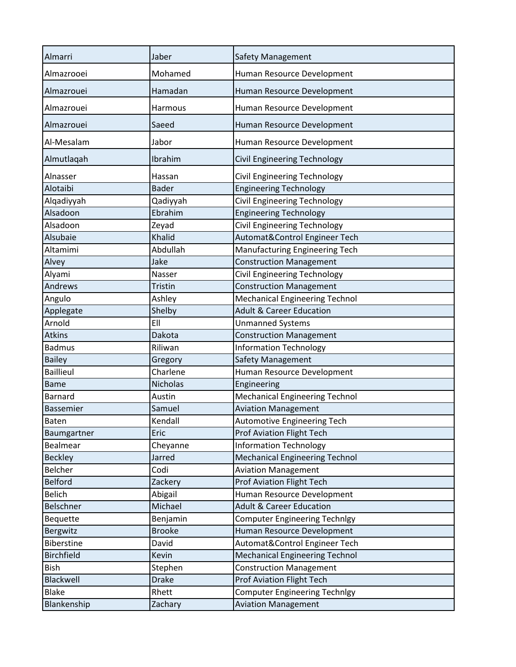| Almarri           | Jaber         | <b>Safety Management</b>              |
|-------------------|---------------|---------------------------------------|
| Almazrooei        | Mohamed       | Human Resource Development            |
| Almazrouei        | Hamadan       | Human Resource Development            |
| Almazrouei        | Harmous       | Human Resource Development            |
| Almazrouei        | Saeed         | Human Resource Development            |
| Al-Mesalam        | Jabor         | Human Resource Development            |
| Almutlaqah        | Ibrahim       | Civil Engineering Technology          |
| Alnasser          | Hassan        | Civil Engineering Technology          |
| Alotaibi          | <b>Bader</b>  | <b>Engineering Technology</b>         |
| Alqadiyyah        | Qadiyyah      | Civil Engineering Technology          |
| Alsadoon          | Ebrahim       | <b>Engineering Technology</b>         |
| Alsadoon          | Zeyad         | Civil Engineering Technology          |
| Alsubaie          | Khalid        | Automat&Control Engineer Tech         |
| Altamimi          | Abdullah      | Manufacturing Engineering Tech        |
| Alvey             | Jake          | <b>Construction Management</b>        |
| Alyami            | Nasser        | <b>Civil Engineering Technology</b>   |
| Andrews           | Tristin       |                                       |
|                   |               | <b>Construction Management</b>        |
| Angulo            | Ashley        | Mechanical Engineering Technol        |
| Applegate         | Shelby        | <b>Adult &amp; Career Education</b>   |
| Arnold            | EII           | <b>Unmanned Systems</b>               |
| <b>Atkins</b>     | Dakota        | <b>Construction Management</b>        |
| <b>Badmus</b>     | Riliwan       | <b>Information Technology</b>         |
| <b>Bailey</b>     | Gregory       | <b>Safety Management</b>              |
| <b>Baillieul</b>  | Charlene      | Human Resource Development            |
| <b>Bame</b>       | Nicholas      | Engineering                           |
| <b>Barnard</b>    | Austin        | <b>Mechanical Engineering Technol</b> |
| <b>Bassemier</b>  | Samuel        | <b>Aviation Management</b>            |
| <b>Baten</b>      | Kendall       | Automotive Engineering Tech           |
| Baumgartner       | Eric          | <b>Prof Aviation Flight Tech</b>      |
| Bealmear          | Cheyanne      | <b>Information Technology</b>         |
| <b>Beckley</b>    | Jarred        | <b>Mechanical Engineering Technol</b> |
| <b>Belcher</b>    | Codi          | <b>Aviation Management</b>            |
| <b>Belford</b>    | Zackery       | <b>Prof Aviation Flight Tech</b>      |
| <b>Belich</b>     | Abigail       | Human Resource Development            |
| Belschner         | Michael       | <b>Adult &amp; Career Education</b>   |
| Bequette          | Benjamin      | <b>Computer Engineering Technlgy</b>  |
| Bergwitz          | <b>Brooke</b> | Human Resource Development            |
| Biberstine        | David         | Automat&Control Engineer Tech         |
| <b>Birchfield</b> |               |                                       |
|                   | Kevin         | <b>Mechanical Engineering Technol</b> |
| Bish              | Stephen       | <b>Construction Management</b>        |
| Blackwell         | <b>Drake</b>  | <b>Prof Aviation Flight Tech</b>      |
| <b>Blake</b>      | Rhett         | <b>Computer Engineering Technlgy</b>  |
| Blankenship       | Zachary       | <b>Aviation Management</b>            |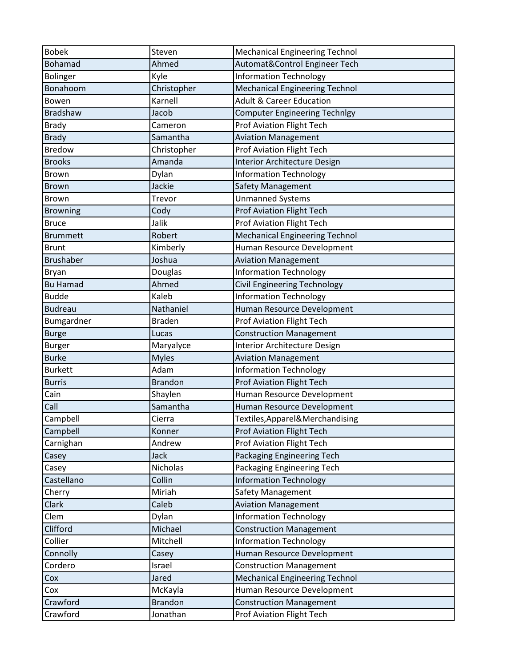| <b>Bobek</b>     | Steven         | <b>Mechanical Engineering Technol</b> |
|------------------|----------------|---------------------------------------|
| <b>Bohamad</b>   | Ahmed          | Automat&Control Engineer Tech         |
| Bolinger         | Kyle           | <b>Information Technology</b>         |
| Bonahoom         | Christopher    | <b>Mechanical Engineering Technol</b> |
| Bowen            | Karnell        | <b>Adult &amp; Career Education</b>   |
| <b>Bradshaw</b>  | Jacob          | <b>Computer Engineering Technlgy</b>  |
| <b>Brady</b>     | Cameron        | <b>Prof Aviation Flight Tech</b>      |
| <b>Brady</b>     | Samantha       | <b>Aviation Management</b>            |
| <b>Bredow</b>    | Christopher    | <b>Prof Aviation Flight Tech</b>      |
| <b>Brooks</b>    | Amanda         | <b>Interior Architecture Design</b>   |
| Brown            | Dylan          | <b>Information Technology</b>         |
| <b>Brown</b>     | Jackie         | Safety Management                     |
| Brown            | Trevor         | <b>Unmanned Systems</b>               |
| <b>Browning</b>  | Cody           | <b>Prof Aviation Flight Tech</b>      |
| <b>Bruce</b>     | Jalik          | <b>Prof Aviation Flight Tech</b>      |
| <b>Brummett</b>  | Robert         | <b>Mechanical Engineering Technol</b> |
| <b>Brunt</b>     | Kimberly       | Human Resource Development            |
| <b>Brushaber</b> | Joshua         | <b>Aviation Management</b>            |
| Bryan            | Douglas        | <b>Information Technology</b>         |
| <b>Bu Hamad</b>  | Ahmed          | Civil Engineering Technology          |
| <b>Budde</b>     | Kaleb          | <b>Information Technology</b>         |
| <b>Budreau</b>   | Nathaniel      | Human Resource Development            |
| Bumgardner       | <b>Braden</b>  | Prof Aviation Flight Tech             |
| <b>Burge</b>     | Lucas          | <b>Construction Management</b>        |
| <b>Burger</b>    | Maryalyce      | <b>Interior Architecture Design</b>   |
| <b>Burke</b>     | <b>Myles</b>   | <b>Aviation Management</b>            |
| <b>Burkett</b>   | Adam           | <b>Information Technology</b>         |
| <b>Burris</b>    | <b>Brandon</b> | <b>Prof Aviation Flight Tech</b>      |
| Cain             | Shaylen        | Human Resource Development            |
| Call             | Samantha       | Human Resource Development            |
| Campbell         | Cierra         | Textiles, Apparel & Merchandising     |
| Campbell         | Konner         | <b>Prof Aviation Flight Tech</b>      |
| Carnighan        | Andrew         | <b>Prof Aviation Flight Tech</b>      |
| Casey            | Jack           | Packaging Engineering Tech            |
| Casey            | Nicholas       | Packaging Engineering Tech            |
| Castellano       | Collin         | <b>Information Technology</b>         |
| Cherry           | Miriah         | Safety Management                     |
| Clark            | Caleb          | <b>Aviation Management</b>            |
| Clem             | Dylan          | <b>Information Technology</b>         |
| Clifford         | Michael        | <b>Construction Management</b>        |
| Collier          | Mitchell       | <b>Information Technology</b>         |
| Connolly         | Casey          | Human Resource Development            |
| Cordero          | Israel         | <b>Construction Management</b>        |
| Cox              | Jared          | <b>Mechanical Engineering Technol</b> |
| Cox              | McKayla        | Human Resource Development            |
| Crawford         | <b>Brandon</b> | <b>Construction Management</b>        |
| Crawford         | Jonathan       | Prof Aviation Flight Tech             |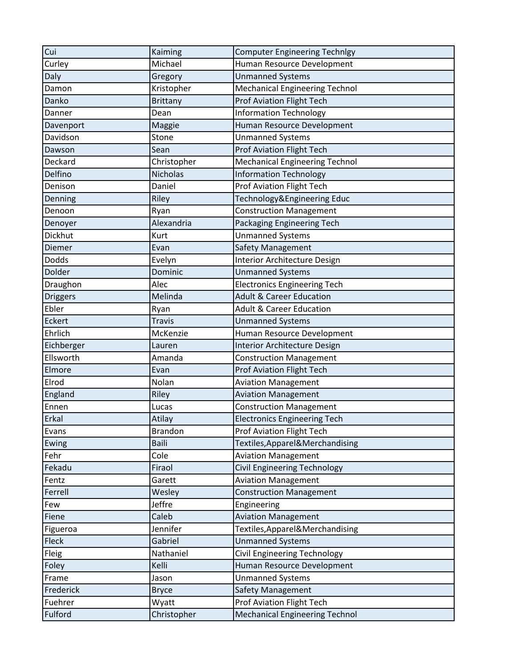| Cui             | Kaiming         | <b>Computer Engineering Technlgy</b>  |
|-----------------|-----------------|---------------------------------------|
| Curley          | Michael         | Human Resource Development            |
| Daly            | Gregory         | <b>Unmanned Systems</b>               |
| Damon           | Kristopher      | <b>Mechanical Engineering Technol</b> |
| Danko           | <b>Brittany</b> | <b>Prof Aviation Flight Tech</b>      |
| Danner          | Dean            | <b>Information Technology</b>         |
| Davenport       | Maggie          | Human Resource Development            |
| Davidson        | Stone           | <b>Unmanned Systems</b>               |
| Dawson          | Sean            | <b>Prof Aviation Flight Tech</b>      |
| Deckard         | Christopher     | <b>Mechanical Engineering Technol</b> |
| Delfino         | Nicholas        | <b>Information Technology</b>         |
| Denison         | Daniel          | <b>Prof Aviation Flight Tech</b>      |
| Denning         | Riley           | Technology&Engineering Educ           |
| Denoon          | Ryan            | <b>Construction Management</b>        |
| Denoyer         | Alexandria      | Packaging Engineering Tech            |
| Dickhut         | Kurt            | <b>Unmanned Systems</b>               |
| Diemer          | Evan            | Safety Management                     |
| <b>Dodds</b>    | Evelyn          | Interior Architecture Design          |
| Dolder          | Dominic         | <b>Unmanned Systems</b>               |
| Draughon        | Alec            | <b>Electronics Engineering Tech</b>   |
| <b>Driggers</b> | Melinda         | <b>Adult &amp; Career Education</b>   |
| Ebler           | Ryan            | <b>Adult &amp; Career Education</b>   |
| Eckert          | <b>Travis</b>   | <b>Unmanned Systems</b>               |
| Ehrlich         | McKenzie        | Human Resource Development            |
| Eichberger      | Lauren          | <b>Interior Architecture Design</b>   |
| Ellsworth       | Amanda          | <b>Construction Management</b>        |
| Elmore          | Evan            | <b>Prof Aviation Flight Tech</b>      |
| Elrod           | Nolan           | <b>Aviation Management</b>            |
| England         | Riley           | <b>Aviation Management</b>            |
| Ennen           | Lucas           | <b>Construction Management</b>        |
| Erkal           | Atilay          | <b>Electronics Engineering Tech</b>   |
| Evans           | <b>Brandon</b>  | <b>Prof Aviation Flight Tech</b>      |
| Ewing           | <b>Baili</b>    | Textiles, Apparel & Merchandising     |
| Fehr            | Cole            | <b>Aviation Management</b>            |
| Fekadu          | Firaol          | <b>Civil Engineering Technology</b>   |
| Fentz           | Garett          | <b>Aviation Management</b>            |
| Ferrell         | Wesley          | <b>Construction Management</b>        |
| Few             | Jeffre          | Engineering                           |
| Fiene           | Caleb           | <b>Aviation Management</b>            |
| Figueroa        | Jennifer        | Textiles, Apparel & Merchandising     |
| Fleck           | Gabriel         | <b>Unmanned Systems</b>               |
| Fleig           | Nathaniel       | <b>Civil Engineering Technology</b>   |
| Foley           | Kelli           | Human Resource Development            |
| Frame           | Jason           | <b>Unmanned Systems</b>               |
| Frederick       | <b>Bryce</b>    | Safety Management                     |
| Fuehrer         | Wyatt           | <b>Prof Aviation Flight Tech</b>      |
| Fulford         | Christopher     | <b>Mechanical Engineering Technol</b> |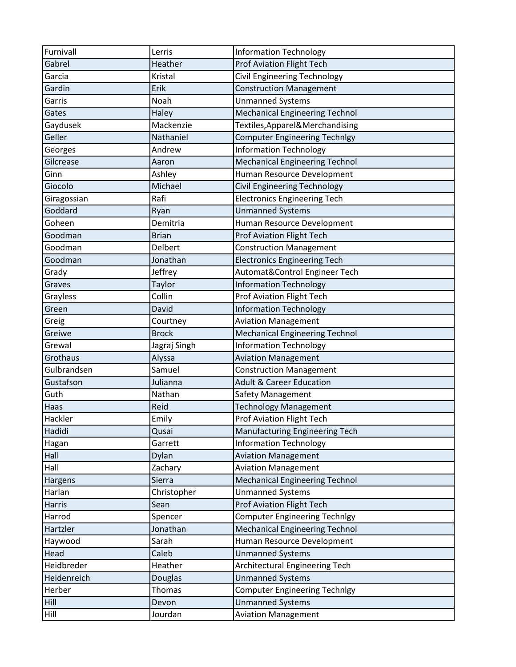| Furnivall     | Lerris       | <b>Information Technology</b>         |
|---------------|--------------|---------------------------------------|
| Gabrel        | Heather      | <b>Prof Aviation Flight Tech</b>      |
| Garcia        | Kristal      | Civil Engineering Technology          |
| Gardin        | Erik         | <b>Construction Management</b>        |
| Garris        | Noah         | <b>Unmanned Systems</b>               |
| Gates         | Haley        | <b>Mechanical Engineering Technol</b> |
| Gaydusek      | Mackenzie    | Textiles, Apparel & Merchandising     |
| Geller        | Nathaniel    | <b>Computer Engineering Technlgy</b>  |
| Georges       | Andrew       | <b>Information Technology</b>         |
| Gilcrease     | Aaron        | <b>Mechanical Engineering Technol</b> |
| Ginn          | Ashley       | Human Resource Development            |
| Giocolo       | Michael      | <b>Civil Engineering Technology</b>   |
| Giragossian   | Rafi         | <b>Electronics Engineering Tech</b>   |
| Goddard       | Ryan         | <b>Unmanned Systems</b>               |
| Goheen        | Demitria     | Human Resource Development            |
| Goodman       | <b>Brian</b> | Prof Aviation Flight Tech             |
| Goodman       | Delbert      | <b>Construction Management</b>        |
| Goodman       | Jonathan     | <b>Electronics Engineering Tech</b>   |
| Grady         | Jeffrey      | Automat&Control Engineer Tech         |
| Graves        | Taylor       | <b>Information Technology</b>         |
| Grayless      | Collin       | <b>Prof Aviation Flight Tech</b>      |
| Green         | David        | <b>Information Technology</b>         |
| Greig         | Courtney     | <b>Aviation Management</b>            |
| Greiwe        | <b>Brock</b> | <b>Mechanical Engineering Technol</b> |
| Grewal        | Jagraj Singh | <b>Information Technology</b>         |
| Grothaus      | Alyssa       | <b>Aviation Management</b>            |
| Gulbrandsen   | Samuel       | <b>Construction Management</b>        |
| Gustafson     | Julianna     | <b>Adult &amp; Career Education</b>   |
| Guth          | Nathan       | Safety Management                     |
| Haas          | Reid         | <b>Technology Management</b>          |
| Hackler       | Emily        | <b>Prof Aviation Flight Tech</b>      |
| Hadidi        | Qusai        | Manufacturing Engineering Tech        |
| Hagan         | Garrett      | <b>Information Technology</b>         |
| Hall          | Dylan        | <b>Aviation Management</b>            |
| Hall          | Zachary      | <b>Aviation Management</b>            |
| Hargens       | Sierra       | <b>Mechanical Engineering Technol</b> |
| Harlan        | Christopher  | <b>Unmanned Systems</b>               |
| <b>Harris</b> | Sean         | <b>Prof Aviation Flight Tech</b>      |
| Harrod        | Spencer      | <b>Computer Engineering Technlgy</b>  |
| Hartzler      | Jonathan     | <b>Mechanical Engineering Technol</b> |
| Haywood       | Sarah        | Human Resource Development            |
| Head          | Caleb        | <b>Unmanned Systems</b>               |
| Heidbreder    | Heather      | Architectural Engineering Tech        |
| Heidenreich   | Douglas      | <b>Unmanned Systems</b>               |
| Herber        | Thomas       | <b>Computer Engineering Technlgy</b>  |
| Hill          | Devon        | <b>Unmanned Systems</b>               |
| Hill          | Jourdan      | <b>Aviation Management</b>            |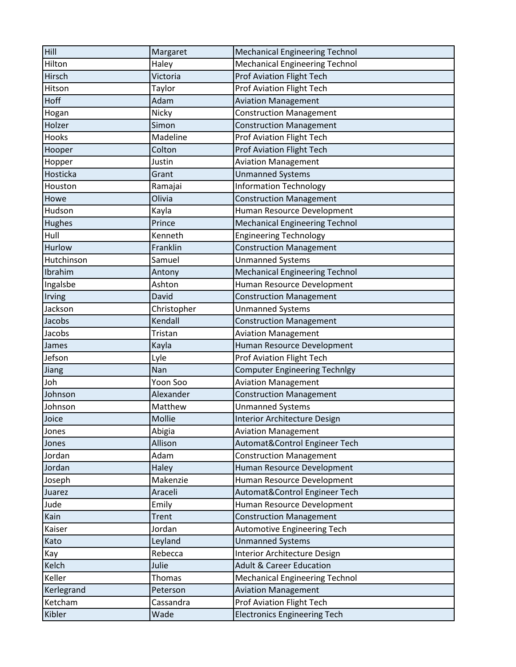| Hill       | Margaret     | <b>Mechanical Engineering Technol</b> |
|------------|--------------|---------------------------------------|
| Hilton     | Haley        | <b>Mechanical Engineering Technol</b> |
| Hirsch     | Victoria     | <b>Prof Aviation Flight Tech</b>      |
| Hitson     | Taylor       | <b>Prof Aviation Flight Tech</b>      |
| Hoff       | Adam         | <b>Aviation Management</b>            |
| Hogan      | Nicky        | <b>Construction Management</b>        |
| Holzer     | Simon        | <b>Construction Management</b>        |
| Hooks      | Madeline     | Prof Aviation Flight Tech             |
| Hooper     | Colton       | <b>Prof Aviation Flight Tech</b>      |
| Hopper     | Justin       | <b>Aviation Management</b>            |
| Hosticka   | Grant        | <b>Unmanned Systems</b>               |
| Houston    | Ramajai      | <b>Information Technology</b>         |
| Howe       | Olivia       | <b>Construction Management</b>        |
| Hudson     | Kayla        | Human Resource Development            |
| Hughes     | Prince       | <b>Mechanical Engineering Technol</b> |
| Hull       | Kenneth      | <b>Engineering Technology</b>         |
| Hurlow     | Franklin     | <b>Construction Management</b>        |
| Hutchinson | Samuel       | <b>Unmanned Systems</b>               |
| Ibrahim    | Antony       | <b>Mechanical Engineering Technol</b> |
| Ingalsbe   | Ashton       | Human Resource Development            |
| Irving     | David        | <b>Construction Management</b>        |
| Jackson    | Christopher  | <b>Unmanned Systems</b>               |
| Jacobs     | Kendall      | <b>Construction Management</b>        |
| Jacobs     | Tristan      | <b>Aviation Management</b>            |
| James      | Kayla        | Human Resource Development            |
| Jefson     | Lyle         | <b>Prof Aviation Flight Tech</b>      |
| Jiang      | Nan          | <b>Computer Engineering Technlgy</b>  |
| Joh        | Yoon Soo     | <b>Aviation Management</b>            |
| Johnson    | Alexander    | <b>Construction Management</b>        |
| Johnson    | Matthew      | <b>Unmanned Systems</b>               |
| Joice      | Mollie       | <b>Interior Architecture Design</b>   |
| Jones      | Abigia       | <b>Aviation Management</b>            |
| Jones      | Allison      | Automat&Control Engineer Tech         |
| Jordan     | Adam         | <b>Construction Management</b>        |
| Jordan     | Haley        | Human Resource Development            |
| Joseph     | Makenzie     | Human Resource Development            |
| Juarez     | Araceli      | Automat&Control Engineer Tech         |
| Jude       | Emily        | Human Resource Development            |
| Kain       | <b>Trent</b> | <b>Construction Management</b>        |
| Kaiser     | Jordan       | <b>Automotive Engineering Tech</b>    |
| Kato       | Leyland      | <b>Unmanned Systems</b>               |
| Kay        | Rebecca      | <b>Interior Architecture Design</b>   |
| Kelch      | Julie        | <b>Adult &amp; Career Education</b>   |
| Keller     | Thomas       | <b>Mechanical Engineering Technol</b> |
| Kerlegrand | Peterson     | <b>Aviation Management</b>            |
| Ketcham    | Cassandra    | <b>Prof Aviation Flight Tech</b>      |
| Kibler     | Wade         | <b>Electronics Engineering Tech</b>   |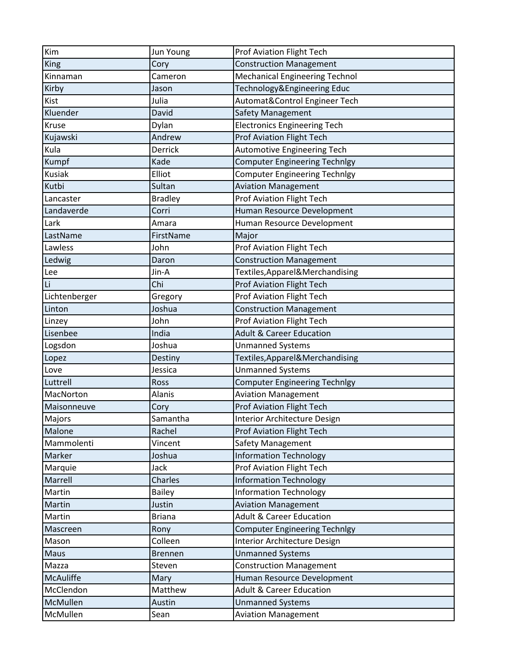| Kim              | Jun Young      | Prof Aviation Flight Tech             |
|------------------|----------------|---------------------------------------|
| King             | Cory           | <b>Construction Management</b>        |
| Kinnaman         | Cameron        | <b>Mechanical Engineering Technol</b> |
| Kirby            | Jason          | Technology&Engineering Educ           |
| Kist             | Julia          | Automat&Control Engineer Tech         |
| Kluender         | David          | Safety Management                     |
| Kruse            | Dylan          | <b>Electronics Engineering Tech</b>   |
| Kujawski         | Andrew         | <b>Prof Aviation Flight Tech</b>      |
| Kula             | Derrick        | <b>Automotive Engineering Tech</b>    |
| Kumpf            | Kade           | <b>Computer Engineering Technlgy</b>  |
| <b>Kusiak</b>    | Elliot         | <b>Computer Engineering Technlgy</b>  |
| Kutbi            | Sultan         | <b>Aviation Management</b>            |
| Lancaster        | <b>Bradley</b> | Prof Aviation Flight Tech             |
| Landaverde       | Corri          | Human Resource Development            |
| Lark             | Amara          | Human Resource Development            |
| LastName         | FirstName      | Major                                 |
| Lawless          | John           | Prof Aviation Flight Tech             |
| Ledwig           | Daron          | <b>Construction Management</b>        |
| Lee              | Jin-A          | Textiles, Apparel&Merchandising       |
| Li               | Chi            | <b>Prof Aviation Flight Tech</b>      |
| Lichtenberger    | Gregory        | <b>Prof Aviation Flight Tech</b>      |
| Linton           | Joshua         | <b>Construction Management</b>        |
| Linzey           | John           | <b>Prof Aviation Flight Tech</b>      |
| Lisenbee         | India          | <b>Adult &amp; Career Education</b>   |
| Logsdon          | Joshua         | <b>Unmanned Systems</b>               |
| Lopez            | Destiny        | Textiles, Apparel & Merchandising     |
| Love             | Jessica        | <b>Unmanned Systems</b>               |
| Luttrell         | Ross           | <b>Computer Engineering Technlgy</b>  |
| MacNorton        | <b>Alanis</b>  | <b>Aviation Management</b>            |
| Maisonneuve      | Cory           | <b>Prof Aviation Flight Tech</b>      |
| Majors           | Samantha       | <b>Interior Architecture Design</b>   |
| Malone           | Rachel         | <b>Prof Aviation Flight Tech</b>      |
| Mammolenti       | Vincent        | Safety Management                     |
| Marker           | Joshua         | <b>Information Technology</b>         |
| Marquie          | Jack           | <b>Prof Aviation Flight Tech</b>      |
| Marrell          | <b>Charles</b> | <b>Information Technology</b>         |
| Martin           | <b>Bailey</b>  | <b>Information Technology</b>         |
| Martin           | Justin         | <b>Aviation Management</b>            |
| Martin           | <b>Briana</b>  | <b>Adult &amp; Career Education</b>   |
| Mascreen         | Rony           | <b>Computer Engineering Technlgy</b>  |
| Mason            | Colleen        | Interior Architecture Design          |
| Maus             | <b>Brennen</b> | <b>Unmanned Systems</b>               |
| Mazza            | Steven         | <b>Construction Management</b>        |
| <b>McAuliffe</b> | Mary           | Human Resource Development            |
| McClendon        | Matthew        | <b>Adult &amp; Career Education</b>   |
| McMullen         | Austin         | <b>Unmanned Systems</b>               |
| McMullen         | Sean           | <b>Aviation Management</b>            |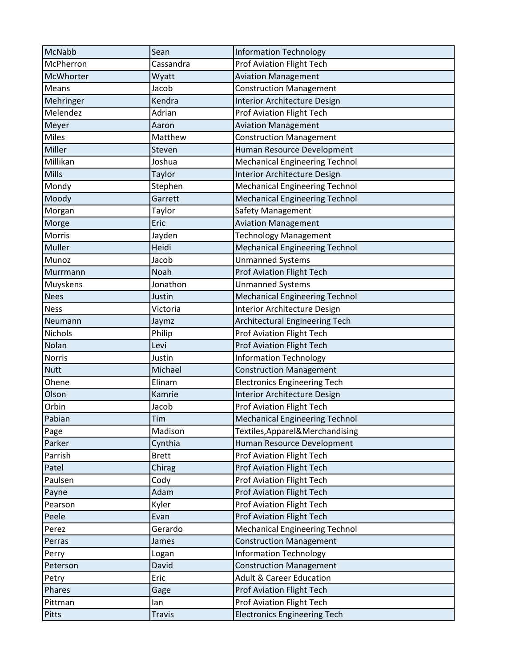| <b>McNabb</b> | Sean          | <b>Information Technology</b>         |
|---------------|---------------|---------------------------------------|
| McPherron     | Cassandra     | <b>Prof Aviation Flight Tech</b>      |
| McWhorter     | Wyatt         | <b>Aviation Management</b>            |
| Means         | Jacob         | <b>Construction Management</b>        |
| Mehringer     | Kendra        | Interior Architecture Design          |
| Melendez      | Adrian        | <b>Prof Aviation Flight Tech</b>      |
| Meyer         | Aaron         | <b>Aviation Management</b>            |
| Miles         | Matthew       | <b>Construction Management</b>        |
| Miller        | Steven        | Human Resource Development            |
| Millikan      | Joshua        | <b>Mechanical Engineering Technol</b> |
| Mills         | Taylor        | <b>Interior Architecture Design</b>   |
| Mondy         | Stephen       | <b>Mechanical Engineering Technol</b> |
| Moody         | Garrett       | <b>Mechanical Engineering Technol</b> |
| Morgan        | Taylor        | Safety Management                     |
| Morge         | Eric          | <b>Aviation Management</b>            |
| Morris        | Jayden        | <b>Technology Management</b>          |
| Muller        | Heidi         | <b>Mechanical Engineering Technol</b> |
| Munoz         | Jacob         | <b>Unmanned Systems</b>               |
| Murrmann      | Noah          | <b>Prof Aviation Flight Tech</b>      |
| Muyskens      | Jonathon      | <b>Unmanned Systems</b>               |
| <b>Nees</b>   | Justin        | <b>Mechanical Engineering Technol</b> |
| <b>Ness</b>   | Victoria      | Interior Architecture Design          |
| Neumann       | Jaymz         | Architectural Engineering Tech        |
| Nichols       | Philip        | <b>Prof Aviation Flight Tech</b>      |
| Nolan         | Levi          | <b>Prof Aviation Flight Tech</b>      |
| <b>Norris</b> | Justin        | <b>Information Technology</b>         |
| <b>Nutt</b>   | Michael       | <b>Construction Management</b>        |
| Ohene         | Elinam        | <b>Electronics Engineering Tech</b>   |
| Olson         | Kamrie        | <b>Interior Architecture Design</b>   |
| Orbin         | Jacob         | <b>Prof Aviation Flight Tech</b>      |
| Pabian        | Tim           | <b>Mechanical Engineering Technol</b> |
| Page          | Madison       | Textiles, Apparel & Merchandising     |
| Parker        | Cynthia       | Human Resource Development            |
| Parrish       | <b>Brett</b>  | <b>Prof Aviation Flight Tech</b>      |
| Patel         | Chirag        | <b>Prof Aviation Flight Tech</b>      |
| Paulsen       | Cody          | <b>Prof Aviation Flight Tech</b>      |
| Payne         | Adam          | <b>Prof Aviation Flight Tech</b>      |
| Pearson       | Kyler         | <b>Prof Aviation Flight Tech</b>      |
| Peele         | Evan          | Prof Aviation Flight Tech             |
| Perez         | Gerardo       | <b>Mechanical Engineering Technol</b> |
| Perras        | James         | <b>Construction Management</b>        |
| Perry         | Logan         | <b>Information Technology</b>         |
| Peterson      | David         | <b>Construction Management</b>        |
| Petry         | Eric          | <b>Adult &amp; Career Education</b>   |
| Phares        | Gage          | <b>Prof Aviation Flight Tech</b>      |
| Pittman       | lan           | <b>Prof Aviation Flight Tech</b>      |
| Pitts         | <b>Travis</b> | <b>Electronics Engineering Tech</b>   |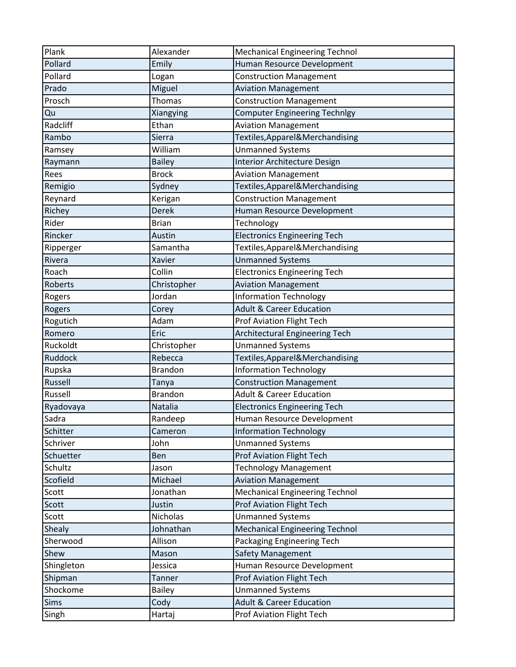| Plank      | Alexander      | <b>Mechanical Engineering Technol</b> |
|------------|----------------|---------------------------------------|
| Pollard    | Emily          | Human Resource Development            |
| Pollard    | Logan          | <b>Construction Management</b>        |
| Prado      | Miguel         | <b>Aviation Management</b>            |
| Prosch     | <b>Thomas</b>  | <b>Construction Management</b>        |
| Qu         | Xiangying      | <b>Computer Engineering Technlgy</b>  |
| Radcliff   | Ethan          | <b>Aviation Management</b>            |
| Rambo      | Sierra         | Textiles, Apparel & Merchandising     |
| Ramsey     | William        | <b>Unmanned Systems</b>               |
| Raymann    | <b>Bailey</b>  | Interior Architecture Design          |
| Rees       | <b>Brock</b>   | <b>Aviation Management</b>            |
| Remigio    | Sydney         | Textiles, Apparel&Merchandising       |
| Reynard    | Kerigan        | <b>Construction Management</b>        |
| Richey     | <b>Derek</b>   | Human Resource Development            |
| Rider      | <b>Brian</b>   | Technology                            |
| Rincker    | Austin         | <b>Electronics Engineering Tech</b>   |
| Ripperger  | Samantha       | Textiles, Apparel & Merchandising     |
| Rivera     | Xavier         | <b>Unmanned Systems</b>               |
| Roach      | Collin         | <b>Electronics Engineering Tech</b>   |
| Roberts    | Christopher    | <b>Aviation Management</b>            |
| Rogers     | Jordan         | <b>Information Technology</b>         |
| Rogers     | Corey          | <b>Adult &amp; Career Education</b>   |
| Rogutich   | Adam           | Prof Aviation Flight Tech             |
| Romero     | Eric           | <b>Architectural Engineering Tech</b> |
| Ruckoldt   | Christopher    | <b>Unmanned Systems</b>               |
| Ruddock    | Rebecca        | Textiles, Apparel & Merchandising     |
| Rupska     | <b>Brandon</b> | <b>Information Technology</b>         |
| Russell    | Tanya          | <b>Construction Management</b>        |
| Russell    | <b>Brandon</b> | <b>Adult &amp; Career Education</b>   |
| Ryadovaya  | Natalia        | <b>Electronics Engineering Tech</b>   |
| Sadra      | Randeep        | Human Resource Development            |
| Schitter   | Cameron        | <b>Information Technology</b>         |
| Schriver   | John           | <b>Unmanned Systems</b>               |
| Schuetter  | Ben            | <b>Prof Aviation Flight Tech</b>      |
| Schultz    | Jason          | <b>Technology Management</b>          |
| Scofield   | Michael        | <b>Aviation Management</b>            |
| Scott      | Jonathan       | <b>Mechanical Engineering Technol</b> |
| Scott      | Justin         | <b>Prof Aviation Flight Tech</b>      |
| Scott      | Nicholas       | <b>Unmanned Systems</b>               |
| Shealy     | Johnathan      | <b>Mechanical Engineering Technol</b> |
| Sherwood   | Allison        | Packaging Engineering Tech            |
| Shew       | Mason          | Safety Management                     |
| Shingleton | Jessica        | Human Resource Development            |
| Shipman    | <b>Tanner</b>  | <b>Prof Aviation Flight Tech</b>      |
| Shockome   | <b>Bailey</b>  | <b>Unmanned Systems</b>               |
| Sims       | Cody           | <b>Adult &amp; Career Education</b>   |
| Singh      | Hartaj         | Prof Aviation Flight Tech             |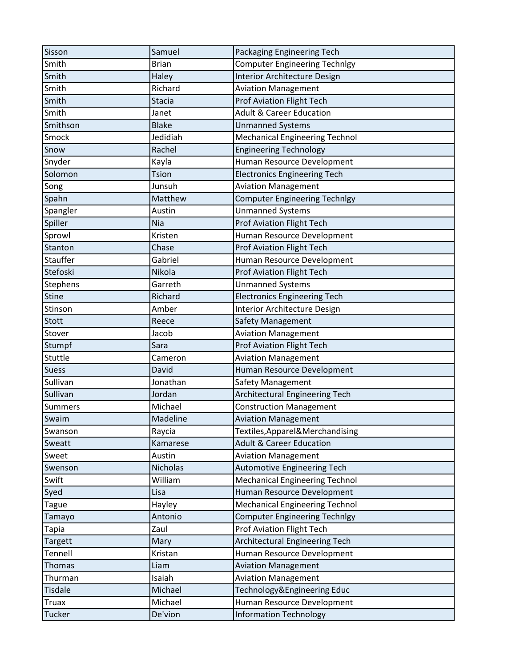| Sisson         | Samuel          | Packaging Engineering Tech            |
|----------------|-----------------|---------------------------------------|
| Smith          | <b>Brian</b>    | <b>Computer Engineering Technlgy</b>  |
| Smith          | Haley           | Interior Architecture Design          |
| Smith          | Richard         | <b>Aviation Management</b>            |
| Smith          | <b>Stacia</b>   | <b>Prof Aviation Flight Tech</b>      |
| Smith          | Janet           | <b>Adult &amp; Career Education</b>   |
| Smithson       | <b>Blake</b>    | <b>Unmanned Systems</b>               |
| Smock          | Jedidiah        | <b>Mechanical Engineering Technol</b> |
| Snow           | Rachel          | <b>Engineering Technology</b>         |
| Snyder         | Kayla           | Human Resource Development            |
| Solomon        | Tsion           | <b>Electronics Engineering Tech</b>   |
| Song           | Junsuh          | <b>Aviation Management</b>            |
| Spahn          | Matthew         | <b>Computer Engineering Technlgy</b>  |
| Spangler       | Austin          | <b>Unmanned Systems</b>               |
| Spiller        | Nia             | <b>Prof Aviation Flight Tech</b>      |
| Sprowl         | Kristen         | Human Resource Development            |
| Stanton        | Chase           | Prof Aviation Flight Tech             |
| Stauffer       | Gabriel         | Human Resource Development            |
| Stefoski       | Nikola          | <b>Prof Aviation Flight Tech</b>      |
| Stephens       | Garreth         | <b>Unmanned Systems</b>               |
| <b>Stine</b>   | Richard         | <b>Electronics Engineering Tech</b>   |
| Stinson        | Amber           | Interior Architecture Design          |
| Stott          | Reece           | Safety Management                     |
| Stover         | Jacob           | <b>Aviation Management</b>            |
| Stumpf         | Sara            | <b>Prof Aviation Flight Tech</b>      |
| Stuttle        | Cameron         | <b>Aviation Management</b>            |
| <b>Suess</b>   | David           | Human Resource Development            |
| Sullivan       | Jonathan        | Safety Management                     |
| Sullivan       | Jordan          | <b>Architectural Engineering Tech</b> |
| <b>Summers</b> | Michael         | <b>Construction Management</b>        |
| Swaim          | Madeline        | <b>Aviation Management</b>            |
| Swanson        | Raycia          | Textiles, Apparel & Merchandising     |
| Sweatt         | Kamarese        | <b>Adult &amp; Career Education</b>   |
| Sweet          | Austin          | <b>Aviation Management</b>            |
| Swenson        | <b>Nicholas</b> | <b>Automotive Engineering Tech</b>    |
| Swift          | William         | <b>Mechanical Engineering Technol</b> |
| Syed           | Lisa            | Human Resource Development            |
| <b>Tague</b>   | Hayley          | <b>Mechanical Engineering Technol</b> |
| Tamayo         | Antonio         | <b>Computer Engineering Technlgy</b>  |
| <b>Tapia</b>   | Zaul            | <b>Prof Aviation Flight Tech</b>      |
| <b>Targett</b> | Mary            | <b>Architectural Engineering Tech</b> |
| Tennell        | Kristan         | Human Resource Development            |
| Thomas         | Liam            | <b>Aviation Management</b>            |
| Thurman        | Isaiah          | <b>Aviation Management</b>            |
| <b>Tisdale</b> | Michael         | Technology&Engineering Educ           |
| <b>Truax</b>   | Michael         | Human Resource Development            |
| Tucker         | De'vion         | <b>Information Technology</b>         |